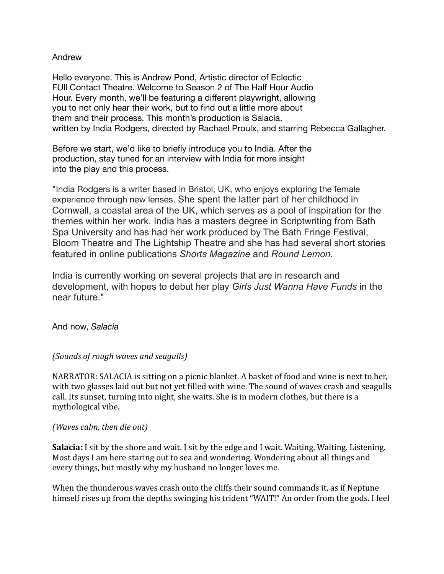#### Andrew

Hello everyone. This is Andrew Pond, Artistic director of Eclectic FUll Contact Theatre. Welcome to Season 2 of The Half Hour Audio Hour. Every month, we'll be featuring a different playwright, allowing you to not only hear their work, but to find out a little more about them and their process. This month's production is Salacia, written by India Rodgers, directed by Rachael Proulx, and starring Rebecca Gallagher.

Before we start, we'd like to briefly introduce you to India. After the production, stay tuned for an interview with India for more insight into the play and this process.

"India Rodgers is a writer based in Bristol, UK, who enjoys exploring the female experience through new lenses. She spent the latter part of her childhood in Cornwall, a coastal area of the UK, which serves as a pool of inspiration for the themes within her work. India has a masters degree in Scriptwriting from Bath Spa University and has had her work produced by The Bath Fringe Festival, Bloom Theatre and The Lightship Theatre and she has had several short stories featured in online publications *Shorts Magazine* and *Round Lemon.* 

India is currently working on several projects that are in research and development, with hopes to debut her play *Girls Just Wanna Have Funds* in the near future."

And now, *Salacia*

## *(Sounds of rough waves and seagulls)*

NARRATOR: SALACIA is sitting on a picnic blanket. A basket of food and wine is next to her, with two glasses laid out but not yet filled with wine. The sound of waves crash and seagulls call. Its sunset, turning into night, she waits. She is in modern clothes, but there is a mythological vibe.

#### *(Waves calm, then die out)*

**Salacia:** I sit by the shore and wait. I sit by the edge and I wait. Waiting. Waiting. Listening. Most days I am here staring out to sea and wondering. Wondering about all things and every things, but mostly why my husband no longer loves me.

When the thunderous waves crash onto the cliffs their sound commands it, as if Neptune himself rises up from the depths swinging his trident "WAIT!" An order from the gods. I feel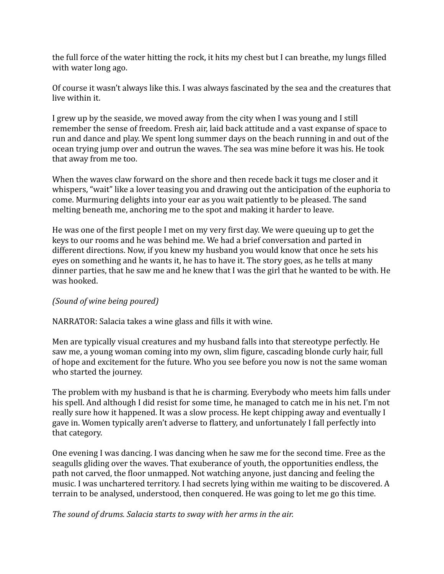the full force of the water hitting the rock, it hits my chest but I can breathe, my lungs filled with water long ago.

Of course it wasn't always like this. I was always fascinated by the sea and the creatures that live within it.

I grew up by the seaside, we moved away from the city when I was young and I still remember the sense of freedom. Fresh air, laid back attitude and a vast expanse of space to run and dance and play. We spent long summer days on the beach running in and out of the ocean trying jump over and outrun the waves. The sea was mine before it was his. He took that away from me too.

When the waves claw forward on the shore and then recede back it tugs me closer and it whispers, "wait" like a lover teasing you and drawing out the anticipation of the euphoria to come. Murmuring delights into your ear as you wait patiently to be pleased. The sand melting beneath me, anchoring me to the spot and making it harder to leave.

He was one of the first people I met on my very first day. We were queuing up to get the keys to our rooms and he was behind me. We had a brief conversation and parted in different directions. Now, if you knew my husband you would know that once he sets his eyes on something and he wants it, he has to have it. The story goes, as he tells at many dinner parties, that he saw me and he knew that I was the girl that he wanted to be with. He was hooked.

## *(Sound of wine being poured)*

NARRATOR: Salacia takes a wine glass and fills it with wine.

Men are typically visual creatures and my husband falls into that stereotype perfectly. He saw me, a young woman coming into my own, slim figure, cascading blonde curly hair, full of hope and excitement for the future. Who you see before you now is not the same woman who started the journey.

The problem with my husband is that he is charming. Everybody who meets him falls under his spell. And although I did resist for some time, he managed to catch me in his net. I'm not really sure how it happened. It was a slow process. He kept chipping away and eventually I gave in. Women typically aren't adverse to flattery, and unfortunately I fall perfectly into that category.

One evening I was dancing. I was dancing when he saw me for the second time. Free as the seagulls gliding over the waves. That exuberance of youth, the opportunities endless, the path not carved, the floor unmapped. Not watching anyone, just dancing and feeling the music. I was unchartered territory. I had secrets lying within me waiting to be discovered. A terrain to be analysed, understood, then conquered. He was going to let me go this time.

The sound of drums. Salacia starts to sway with her arms in the air.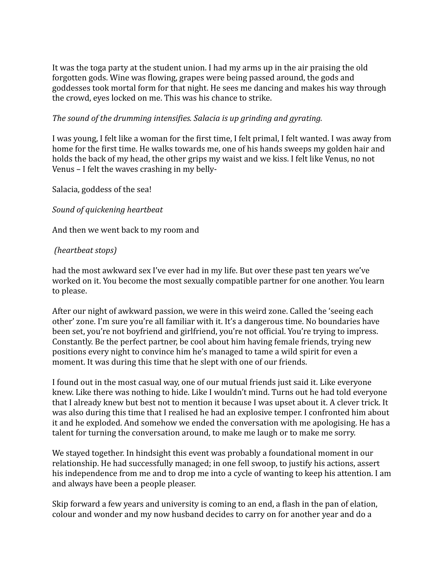It was the toga party at the student union. I had my arms up in the air praising the old forgotten gods. Wine was flowing, grapes were being passed around, the gods and goddesses took mortal form for that night. He sees me dancing and makes his way through the crowd, eyes locked on me. This was his chance to strike.

#### The sound of the drumming intensifies. Salacia is up grinding and gyrating.

I was young, I felt like a woman for the first time, I felt primal, I felt wanted. I was away from home for the first time. He walks towards me, one of his hands sweeps my golden hair and holds the back of my head, the other grips my waist and we kiss. I felt like Venus, no not Venus – I felt the waves crashing in my belly-

Salacia, goddess of the sea!

#### *Sound of quickening heartbeat*

And then we went back to my room and

## *(heartbeat stops)*

had the most awkward sex I've ever had in my life. But over these past ten years we've worked on it. You become the most sexually compatible partner for one another. You learn to please.

After our night of awkward passion, we were in this weird zone. Called the 'seeing each other' zone. I'm sure you're all familiar with it. It's a dangerous time. No boundaries have been set, you're not boyfriend and girlfriend, you're not official. You're trying to impress. Constantly. Be the perfect partner, be cool about him having female friends, trying new positions every night to convince him he's managed to tame a wild spirit for even a moment. It was during this time that he slept with one of our friends.

I found out in the most casual way, one of our mutual friends just said it. Like everyone knew. Like there was nothing to hide. Like I wouldn't mind. Turns out he had told everyone that I already knew but best not to mention it because I was upset about it. A clever trick. It was also during this time that I realised he had an explosive temper. I confronted him about it and he exploded. And somehow we ended the conversation with me apologising. He has a talent for turning the conversation around, to make me laugh or to make me sorry.

We stayed together. In hindsight this event was probably a foundational moment in our relationship. He had successfully managed; in one fell swoop, to justify his actions, assert his independence from me and to drop me into a cycle of wanting to keep his attention. I am and always have been a people pleaser.

Skip forward a few years and university is coming to an end, a flash in the pan of elation, colour and wonder and my now husband decides to carry on for another year and do a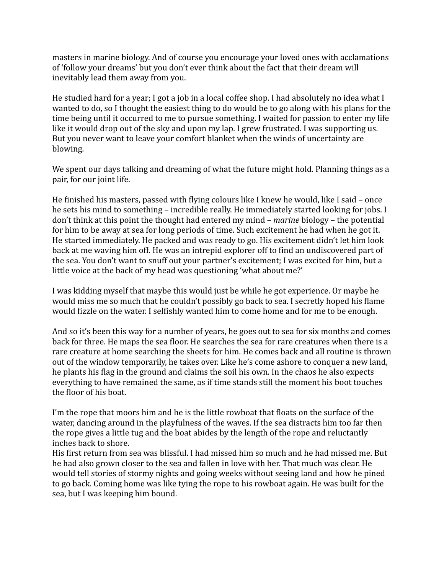masters in marine biology. And of course you encourage your loved ones with acclamations of 'follow your dreams' but you don't ever think about the fact that their dream will inevitably lead them away from you.

He studied hard for a year; I got a job in a local coffee shop. I had absolutely no idea what I wanted to do, so I thought the easiest thing to do would be to go along with his plans for the time being until it occurred to me to pursue something. I waited for passion to enter my life like it would drop out of the sky and upon my lap. I grew frustrated. I was supporting us. But you never want to leave your comfort blanket when the winds of uncertainty are blowing. 

We spent our days talking and dreaming of what the future might hold. Planning things as a pair, for our joint life.

He finished his masters, passed with flying colours like I knew he would, like I said – once he sets his mind to something – incredible really. He immediately started looking for jobs. I don't think at this point the thought had entered my mind – *marine* biology – the potential for him to be away at sea for long periods of time. Such excitement he had when he got it. He started immediately. He packed and was ready to go. His excitement didn't let him look back at me waving him off. He was an intrepid explorer off to find an undiscovered part of the sea. You don't want to snuff out your partner's excitement; I was excited for him, but a little voice at the back of my head was questioning 'what about me?'

I was kidding myself that maybe this would just be while he got experience. Or maybe he would miss me so much that he couldn't possibly go back to sea. I secretly hoped his flame would fizzle on the water. I selfishly wanted him to come home and for me to be enough.

And so it's been this way for a number of years, he goes out to sea for six months and comes back for three. He maps the sea floor. He searches the sea for rare creatures when there is a rare creature at home searching the sheets for him. He comes back and all routine is thrown out of the window temporarily, he takes over. Like he's come ashore to conquer a new land, he plants his flag in the ground and claims the soil his own. In the chaos he also expects everything to have remained the same, as if time stands still the moment his boot touches the floor of his boat.

I'm the rope that moors him and he is the little rowboat that floats on the surface of the water, dancing around in the playfulness of the waves. If the sea distracts him too far then the rope gives a little tug and the boat abides by the length of the rope and reluctantly inches back to shore.

His first return from sea was blissful. I had missed him so much and he had missed me. But he had also grown closer to the sea and fallen in love with her. That much was clear. He would tell stories of stormy nights and going weeks without seeing land and how he pined to go back. Coming home was like tying the rope to his rowboat again. He was built for the sea, but I was keeping him bound.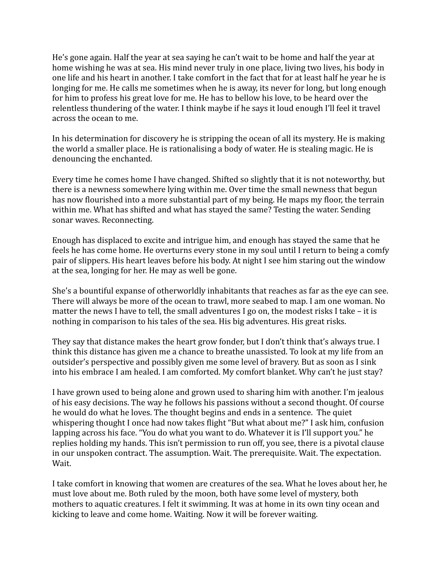He's gone again. Half the year at sea saying he can't wait to be home and half the year at home wishing he was at sea. His mind never truly in one place, living two lives, his body in one life and his heart in another. I take comfort in the fact that for at least half he year he is longing for me. He calls me sometimes when he is away, its never for long, but long enough for him to profess his great love for me. He has to bellow his love, to be heard over the relentless thundering of the water. I think maybe if he says it loud enough I'll feel it travel across the ocean to me.

In his determination for discovery he is stripping the ocean of all its mystery. He is making the world a smaller place. He is rationalising a body of water. He is stealing magic. He is denouncing the enchanted.

Every time he comes home I have changed. Shifted so slightly that it is not noteworthy, but there is a newness somewhere lying within me. Over time the small newness that begun has now flourished into a more substantial part of my being. He maps my floor, the terrain within me. What has shifted and what has stayed the same? Testing the water. Sending sonar waves. Reconnecting.

Enough has displaced to excite and intrigue him, and enough has stayed the same that he feels he has come home. He overturns every stone in my soul until I return to being a comfy pair of slippers. His heart leaves before his body. At night I see him staring out the window at the sea, longing for her. He may as well be gone.

She's a bountiful expanse of otherworldly inhabitants that reaches as far as the eye can see. There will always be more of the ocean to trawl, more seabed to map. I am one woman. No matter the news I have to tell, the small adventures I go on, the modest risks I take  $-$  it is nothing in comparison to his tales of the sea. His big adventures. His great risks.

They say that distance makes the heart grow fonder, but I don't think that's always true. I think this distance has given me a chance to breathe unassisted. To look at my life from an outsider's perspective and possibly given me some level of bravery. But as soon as I sink into his embrace I am healed. I am comforted. My comfort blanket. Why can't he just stay?

I have grown used to being alone and grown used to sharing him with another. I'm jealous of his easy decisions. The way he follows his passions without a second thought. Of course he would do what he loves. The thought begins and ends in a sentence. The quiet whispering thought I once had now takes flight "But what about me?" I ask him, confusion lapping across his face. "You do what you want to do. Whatever it is I'll support you." he replies holding my hands. This isn't permission to run off, you see, there is a pivotal clause in our unspoken contract. The assumption. Wait. The prerequisite. Wait. The expectation. Wait. 

I take comfort in knowing that women are creatures of the sea. What he loves about her, he must love about me. Both ruled by the moon, both have some level of mystery, both mothers to aquatic creatures. I felt it swimming. It was at home in its own tiny ocean and kicking to leave and come home. Waiting. Now it will be forever waiting.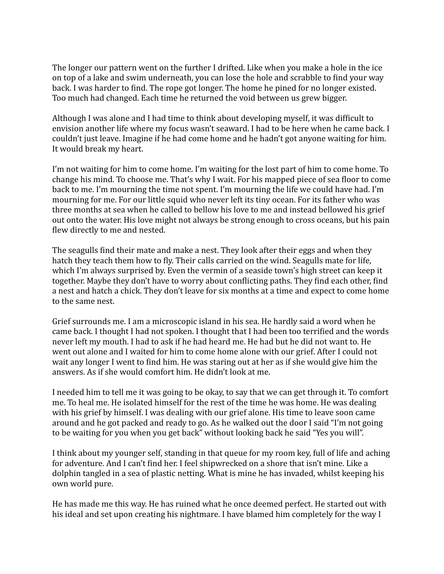The longer our pattern went on the further I drifted. Like when you make a hole in the ice on top of a lake and swim underneath, you can lose the hole and scrabble to find your way back. I was harder to find. The rope got longer. The home he pined for no longer existed. Too much had changed. Each time he returned the void between us grew bigger.

Although I was alone and I had time to think about developing myself, it was difficult to envision another life where my focus wasn't seaward. I had to be here when he came back. I couldn't just leave. Imagine if he had come home and he hadn't got anyone waiting for him. It would break my heart.

I'm not waiting for him to come home. I'm waiting for the lost part of him to come home. To change his mind. To choose me. That's why I wait. For his mapped piece of sea floor to come back to me. I'm mourning the time not spent. I'm mourning the life we could have had. I'm mourning for me. For our little squid who never left its tiny ocean. For its father who was three months at sea when he called to bellow his love to me and instead bellowed his grief out onto the water. His love might not always be strong enough to cross oceans, but his pain flew directly to me and nested.

The seagulls find their mate and make a nest. They look after their eggs and when they hatch they teach them how to fly. Their calls carried on the wind. Seagulls mate for life, which I'm always surprised by. Even the vermin of a seaside town's high street can keep it together. Maybe they don't have to worry about conflicting paths. They find each other, find a nest and hatch a chick. They don't leave for six months at a time and expect to come home to the same nest.

Grief surrounds me. I am a microscopic island in his sea. He hardly said a word when he came back. I thought I had not spoken. I thought that I had been too terrified and the words never left my mouth. I had to ask if he had heard me. He had but he did not want to. He went out alone and I waited for him to come home alone with our grief. After I could not wait any longer I went to find him. He was staring out at her as if she would give him the answers. As if she would comfort him. He didn't look at me.

I needed him to tell me it was going to be okay, to say that we can get through it. To comfort me. To heal me. He isolated himself for the rest of the time he was home. He was dealing with his grief by himself. I was dealing with our grief alone. His time to leave soon came around and he got packed and ready to go. As he walked out the door I said "I'm not going to be waiting for you when you get back" without looking back he said "Yes you will".

I think about my younger self, standing in that queue for my room key, full of life and aching for adventure. And I can't find her. I feel shipwrecked on a shore that isn't mine. Like a dolphin tangled in a sea of plastic netting. What is mine he has invaded, whilst keeping his own world pure.

He has made me this way. He has ruined what he once deemed perfect. He started out with his ideal and set upon creating his nightmare. I have blamed him completely for the way I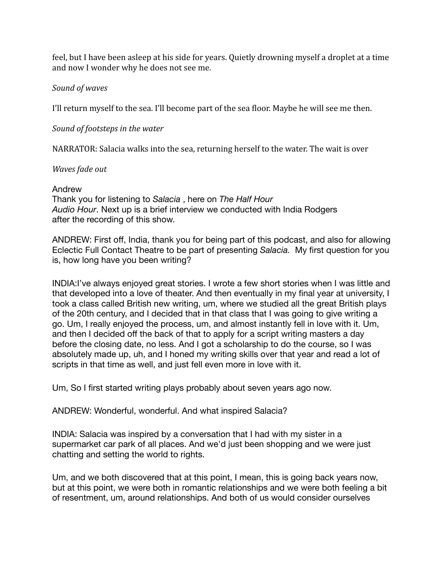feel, but I have been asleep at his side for years. Quietly drowning myself a droplet at a time and now I wonder why he does not see me.

# *Sound of waves*

I'll return myself to the sea. I'll become part of the sea floor. Maybe he will see me then.

# *Sound of footsteps in the water*

NARRATOR: Salacia walks into the sea, returning herself to the water. The wait is over

## *Waves fade out*

# Andrew

Thank you for listening to *Salacia* , here on *The Half Hour Audio Hour*. Next up is a brief interview we conducted with India Rodgers after the recording of this show.

ANDREW: First off, India, thank you for being part of this podcast, and also for allowing Eclectic Full Contact Theatre to be part of presenting *Salacia.* My first question for you is, how long have you been writing?

INDIA:I've always enjoyed great stories. I wrote a few short stories when I was little and that developed into a love of theater. And then eventually in my final year at university, I took a class called British new writing, um, where we studied all the great British plays of the 20th century, and I decided that in that class that I was going to give writing a go. Um, I really enjoyed the process, um, and almost instantly fell in love with it. Um, and then I decided off the back of that to apply for a script writing masters a day before the closing date, no less. And I got a scholarship to do the course, so I was absolutely made up, uh, and I honed my writing skills over that year and read a lot of scripts in that time as well, and just fell even more in love with it.

Um, So I first started writing plays probably about seven years ago now.

ANDREW: Wonderful, wonderful. And what inspired Salacia?

INDIA: Salacia was inspired by a conversation that I had with my sister in a supermarket car park of all places. And we'd just been shopping and we were just chatting and setting the world to rights.

Um, and we both discovered that at this point, I mean, this is going back years now, but at this point, we were both in romantic relationships and we were both feeling a bit of resentment, um, around relationships. And both of us would consider ourselves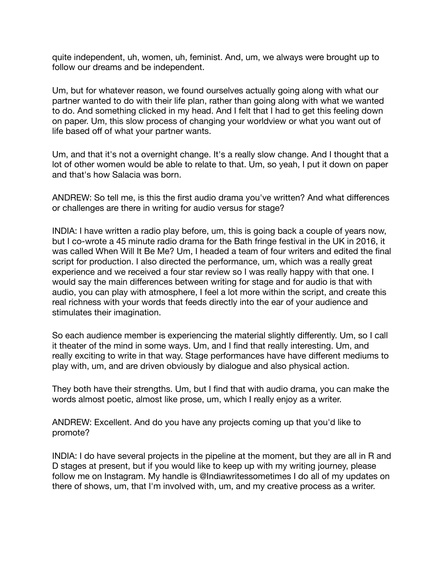quite independent, uh, women, uh, feminist. And, um, we always were brought up to follow our dreams and be independent.

Um, but for whatever reason, we found ourselves actually going along with what our partner wanted to do with their life plan, rather than going along with what we wanted to do. And something clicked in my head. And I felt that I had to get this feeling down on paper. Um, this slow process of changing your worldview or what you want out of life based off of what your partner wants.

Um, and that it's not a overnight change. It's a really slow change. And I thought that a lot of other women would be able to relate to that. Um, so yeah, I put it down on paper and that's how Salacia was born.

ANDREW: So tell me, is this the first audio drama you've written? And what differences or challenges are there in writing for audio versus for stage?

INDIA: I have written a radio play before, um, this is going back a couple of years now, but I co-wrote a 45 minute radio drama for the Bath fringe festival in the UK in 2016, it was called When Will It Be Me? Um, I headed a team of four writers and edited the final script for production. I also directed the performance, um, which was a really great experience and we received a four star review so I was really happy with that one. I would say the main differences between writing for stage and for audio is that with audio, you can play with atmosphere, I feel a lot more within the script, and create this real richness with your words that feeds directly into the ear of your audience and stimulates their imagination.

So each audience member is experiencing the material slightly differently. Um, so I call it theater of the mind in some ways. Um, and I find that really interesting. Um, and really exciting to write in that way. Stage performances have have different mediums to play with, um, and are driven obviously by dialogue and also physical action.

They both have their strengths. Um, but I find that with audio drama, you can make the words almost poetic, almost like prose, um, which I really enjoy as a writer.

ANDREW: Excellent. And do you have any projects coming up that you'd like to promote?

INDIA: I do have several projects in the pipeline at the moment, but they are all in R and D stages at present, but if you would like to keep up with my writing journey, please follow me on Instagram. My handle is @Indiawritessometimes I do all of my updates on there of shows, um, that I'm involved with, um, and my creative process as a writer.